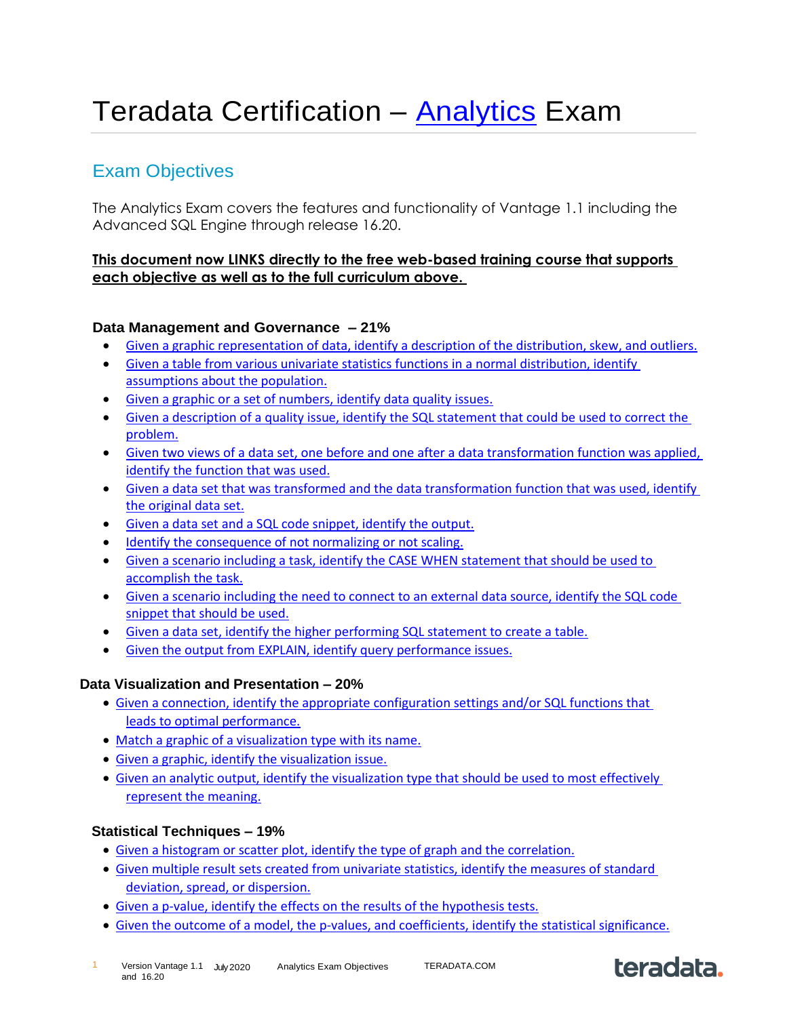# Teradata Certification – [Analytics](https://university.teradata.com/Saba/Web_spf/NA7P1PRD070/app/shared;spf-url=common%2Fcategorydetail%2Fcateg000000000004320%2Ffalse) Exam

# Exam Objectives

The Analytics Exam covers the features and functionality of Vantage 1.1 including the Advanced SQL Engine through release 16.20.

# **This document now LINKS directly to the free web-based training course that supports each objective as well as to the full curriculum above.**

# **Data Management and Governance – 21%**

- [Given a graphic representation of data, identify a description of the distribution, skew, and outliers.](https://university.teradata.com/Saba/Web_spf/NA7P1PRD070/common/ledetail/0000085920)
- [Given a table from various univariate statistics functions in a normal distribution, identify](https://university.teradata.com/Saba/Web_spf/NA7P1PRD070/common/ledetail/0000085920)  [assumptions about the population.](https://university.teradata.com/Saba/Web_spf/NA7P1PRD070/common/ledetail/0000085920)
- [Given a graphic or a set of numbers, identify data quality issues.](https://university.teradata.com/Saba/Web_spf/NA7P1PRD070/common/ledetail/0000085920)
- [Given a description of a quality issue, identify the SQL statement that could be used to correct the](https://university.teradata.com/Saba/Web_spf/NA7P1PRD070/common/ledetail/0000085919)  [problem.](https://university.teradata.com/Saba/Web_spf/NA7P1PRD070/common/ledetail/0000085919)
- [Given two views of a data set, one before and one after a data transformation function was applied,](https://university.teradata.com/Saba/Web_spf/NA7P1PRD070/common/ledetail/0000085901)  [identify the function that was used.](https://university.teradata.com/Saba/Web_spf/NA7P1PRD070/common/ledetail/0000085901)
- [Given a data set that was transformed and the data transformation function that was used, identify](https://university.teradata.com/Saba/Web_spf/NA7P1PRD070/common/ledetail/0000085901)  [the original data set.](https://university.teradata.com/Saba/Web_spf/NA7P1PRD070/common/ledetail/0000085901)
- [Given a data set and a SQL code snippet, identify the output.](https://university.teradata.com/Saba/Web_spf/NA7P1PRD070/common/ledetail/0000085901)
- [Identify the consequence of not normalizing or not scaling.](https://university.teradata.com/Saba/Web_spf/NA7P1PRD070/common/ledetail/0000085901)
- [Given a scenario including a task, identify the CASE WHEN statement that should be used to](https://university.teradata.com/Saba/Web_spf/NA7P1PRD070/common/ledetail/0000085901)  [accomplish the task.](https://university.teradata.com/Saba/Web_spf/NA7P1PRD070/common/ledetail/0000085901)
- [Given a scenario including the need to connect to an external data source, identify the SQL code](https://university.teradata.com/Saba/Web_spf/NA7P1PRD070/common/ledetail/0000085899)  [snippet that should be used.](https://university.teradata.com/Saba/Web_spf/NA7P1PRD070/common/ledetail/0000085899)
- [Given a data set, identify the higher performing SQL statement to create a table.](https://university.teradata.com/Saba/Web_spf/NA7P1PRD070/common/ledetail/0000085921)
- [Given the output from EXPLAIN, identify query performance issues.](https://university.teradata.com/Saba/Web_spf/NA7P1PRD070/common/ledetail/0000085921)

#### **Data Visualization and Presentation – 20%**

- [Given a connection, identify the appropriate configuration settings and/or SQL functions that](https://university.teradata.com/Saba/Web_spf/NA7P1PRD070/common/ledetail/0000085921)  [leads to optimal performance.](https://university.teradata.com/Saba/Web_spf/NA7P1PRD070/common/ledetail/0000085921)
- [Match a graphic of a visualization type with its name.](https://university.teradata.com/Saba/Web_spf/NA7P1PRD070/common/ledetail/0000085922)
- [Given a graphic, identify the visualization issue.](https://university.teradata.com/Saba/Web_spf/NA7P1PRD070/common/ledetail/0000085922)
- [Given an analytic output, identify the visualization type that should be used to most effectively](https://university.teradata.com/Saba/Web_spf/NA7P1PRD070/common/ledetail/0000085922)  [represent the meaning.](https://university.teradata.com/Saba/Web_spf/NA7P1PRD070/common/ledetail/0000085922)

#### **Statistical Techniques – 19%**

- [Given a histogram or scatter plot, identify the type of graph and the correlation.](https://university.teradata.com/Saba/Web_spf/NA7P1PRD070/common/ledetail/0000085922)
- [Given multiple result sets created from univariate statistics, identify the measures of standard](https://university.teradata.com/Saba/Web_spf/NA7P1PRD070/common/ledetail/0000085923)  [deviation, spread, or dispersion.](https://university.teradata.com/Saba/Web_spf/NA7P1PRD070/common/ledetail/0000085923)
- [Given a p-value, identify the effects on the results of the hypothesis tests.](https://university.teradata.com/Saba/Web_spf/NA7P1PRD070/common/ledetail/0000085924)
- Given [the outcome of a model, the p-values, and coefficients, identify the statistical significance.](https://university.teradata.com/Saba/Web_spf/NA7P1PRD070/common/ledetail/0000085924)